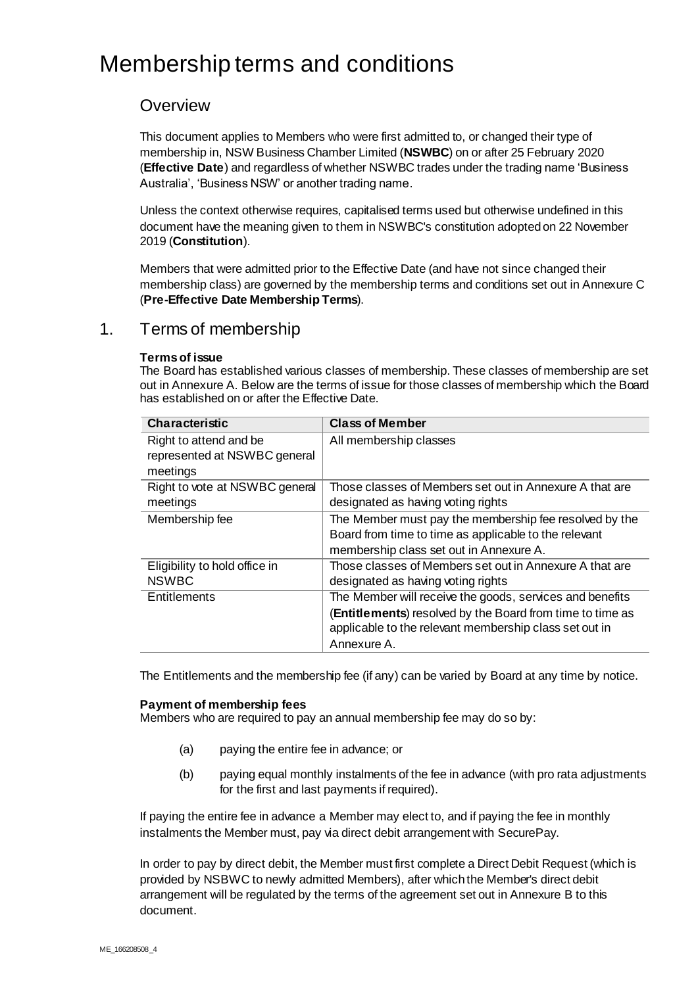# Membership terms and conditions

# **Overview**

This document applies to Members who were first admitted to, or changed their type of membership in, NSW Business Chamber Limited (**NSWBC**) on or after 25 February 2020 (**Effective Date**) and regardless of whether NSWBC trades under the trading name 'Business Australia', 'Business NSW' or another trading name.

Unless the context otherwise requires, capitalised terms used but otherwise undefined in this document have the meaning given to them in NSWBC's constitution adopted on 22 November 2019 (**Constitution**).

Members that were admitted prior to the Effective Date (and have not since changed their membership class) are governed by the membership terms and conditions set out in Annexure C (**Pre-Effective Date Membership Terms**).

# 1. Terms of membership

# **Terms of issue**

The Board has established various classes of membership. These classes of membership are set out in Annexure A. Below are the terms of issue for those classes of membership which the Board has established on or after the Effective Date.

| <b>Characteristic</b>                                  | <b>Class of Member</b>                                    |
|--------------------------------------------------------|-----------------------------------------------------------|
| Right to attend and be<br>represented at NSWBC general | All membership classes                                    |
| meetings                                               |                                                           |
| Right to vote at NSWBC general                         | Those classes of Members set out in Annexure A that are   |
| meetings                                               | designated as having voting rights                        |
| Membership fee                                         | The Member must pay the membership fee resolved by the    |
|                                                        | Board from time to time as applicable to the relevant     |
|                                                        | membership class set out in Annexure A.                   |
| Eligibility to hold office in                          | Those classes of Members set out in Annexure A that are   |
| <b>NSWBC</b>                                           | designated as having voting rights                        |
| Entitlements                                           | The Member will receive the goods, services and benefits  |
|                                                        | (Entitlements) resolved by the Board from time to time as |
|                                                        | applicable to the relevant membership class set out in    |
|                                                        | Annexure A.                                               |

The Entitlements and the membership fee (if any) can be varied by Board at any time by notice.

# **Payment of membership fees**

Members who are required to pay an annual membership fee may do so by:

- (a) paying the entire fee in advance; or
- (b) paying equal monthly instalments of the fee in advance (with pro rata adjustments for the first and last payments if required).

If paying the entire fee in advance a Member may elect to, and if paying the fee in monthly instalments the Member must, pay via direct debit arrangement with SecurePay.

In order to pay by direct debit, the Member must first complete a Direct Debit Request (which is provided by NSBWC to newly admitted Members), after which the Member's direct debit arrangement will be regulated by the terms of the agreement set out in Annexure B to this document.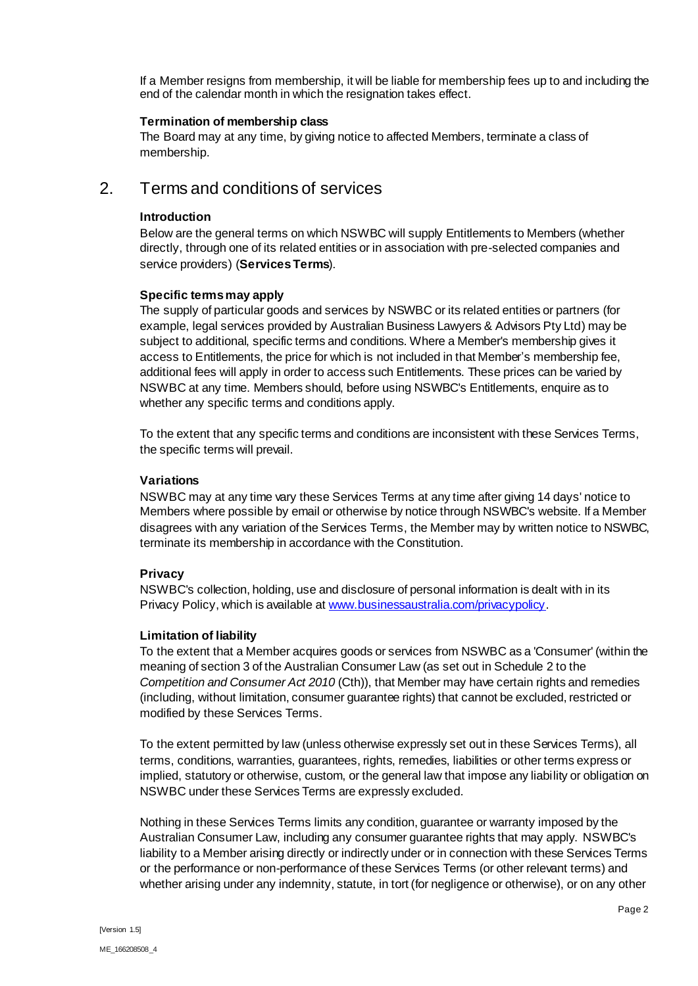If a Member resigns from membership, it will be liable for membership fees up to and including the end of the calendar month in which the resignation takes effect.

# **Termination of membership class**

The Board may at any time, by giving notice to affected Members, terminate a class of membership.

# 2. Terms and conditions of services

# **Introduction**

Below are the general terms on which NSWBC will supply Entitlements to Members (whether directly, through one of its related entities or in association with pre-selected companies and service providers) (**Services Terms**).

# **Specific terms may apply**

The supply of particular goods and services by NSWBC or its related entities or partners (for example, legal services provided by Australian Business Lawyers & Advisors Pty Ltd) may be subject to additional, specific terms and conditions. Where a Member's membership gives it access to Entitlements, the price for which is not included in that Member's membership fee, additional fees will apply in order to access such Entitlements. These prices can be varied by NSWBC at any time. Members should, before using NSWBC's Entitlements, enquire as to whether any specific terms and conditions apply.

To the extent that any specific terms and conditions are inconsistent with these Services Terms, the specific terms will prevail.

# **Variations**

NSWBC may at any time vary these Services Terms at any time after giving 14 days' notice to Members where possible by email or otherwise by notice through NSWBC's website. If a Member disagrees with any variation of the Services Terms, the Member may by written notice to NSWBC, terminate its membership in accordance with the Constitution.

# **Privacy**

NSWBC's collection, holding, use and disclosure of personal information is dealt with in its Privacy Policy, which is available a[t www.businessaustralia.com/privacypolicy](http://www.businessaustralia.com/privacypolicy).

### **Limitation of liability**

To the extent that a Member acquires goods or services from NSWBC as a 'Consumer' (within the meaning of section 3 of the Australian Consumer Law (as set out in Schedule 2 to the *Competition and Consumer Act 2010* (Cth)), that Member may have certain rights and remedies (including, without limitation, consumer guarantee rights) that cannot be excluded, restricted or modified by these Services Terms.

To the extent permitted by law (unless otherwise expressly set out in these Services Terms), all terms, conditions, warranties, guarantees, rights, remedies, liabilities or other terms express or implied, statutory or otherwise, custom, or the general law that impose any liability or obligation on NSWBC under these Services Terms are expressly excluded.

Nothing in these Services Terms limits any condition, guarantee or warranty imposed by the Australian Consumer Law, including any consumer guarantee rights that may apply. NSWBC's liability to a Member arising directly or indirectly under or in connection with these Services Terms or the performance or non-performance of these Services Terms (or other relevant terms) and whether arising under any indemnity, statute, in tort (for negligence or otherwise), or on any other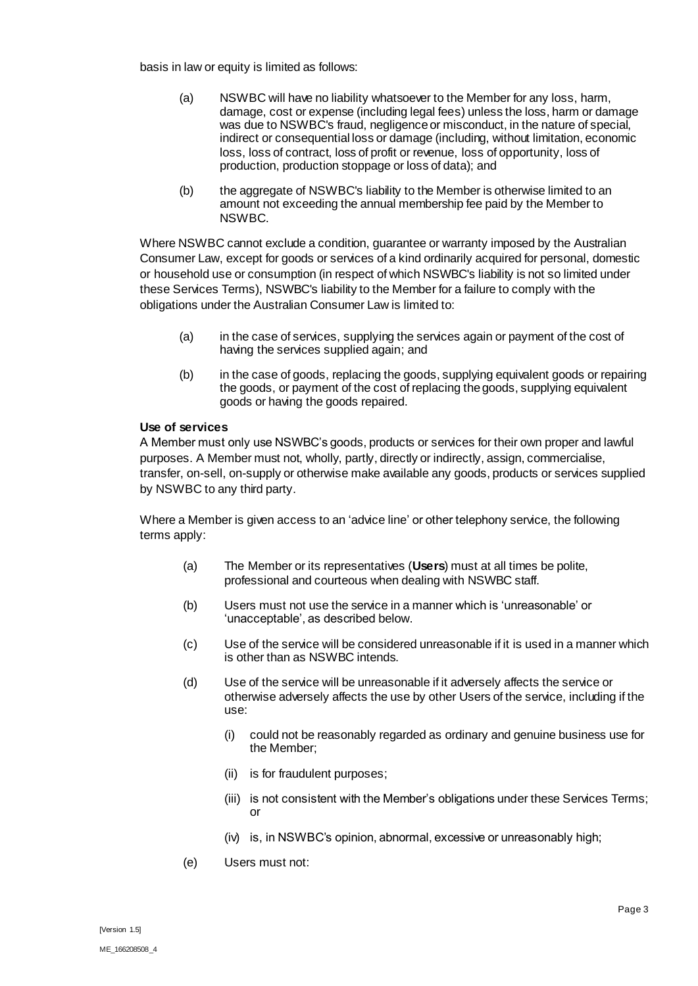basis in law or equity is limited as follows:

- (a) NSWBC will have no liability whatsoever to the Member for any loss, harm, damage, cost or expense (including legal fees) unless the loss, harm or damage was due to NSWBC's fraud, negligence or misconduct, in the nature of special. indirect or consequential loss or damage (including, without limitation, economic loss, loss of contract, loss of profit or revenue, loss of opportunity, loss of production, production stoppage or loss of data); and
- (b) the aggregate of NSWBC's liability to the Member is otherwise limited to an amount not exceeding the annual membership fee paid by the Member to NSWBC.

Where NSWBC cannot exclude a condition, guarantee or warranty imposed by the Australian Consumer Law, except for goods or services of a kind ordinarily acquired for personal, domestic or household use or consumption (in respect of which NSWBC's liability is not so limited under these Services Terms), NSWBC's liability to the Member for a failure to comply with the obligations under the Australian Consumer Law is limited to:

- (a) in the case of services, supplying the services again or payment of the cost of having the services supplied again; and
- (b) in the case of goods, replacing the goods, supplying equivalent goods or repairing the goods, or payment of the cost of replacing the goods, supplying equivalent goods or having the goods repaired.

### **Use of services**

A Member must only use NSWBC's goods, products or services for their own proper and lawful purposes. A Member must not, wholly, partly, directly or indirectly, assign, commercialise, transfer, on-sell, on-supply or otherwise make available any goods, products or services supplied by NSWBC to any third party.

Where a Member is given access to an 'advice line' or other telephony service, the following terms apply:

- (a) The Member or its representatives (**Users**) must at all times be polite, professional and courteous when dealing with NSWBC staff.
- (b) Users must not use the service in a manner which is 'unreasonable' or 'unacceptable', as described below.
- (c) Use of the service will be considered unreasonable if it is used in a manner which is other than as NSWBC intends.
- (d) Use of the service will be unreasonable if it adversely affects the service or otherwise adversely affects the use by other Users of the service, including if the use:
	- (i) could not be reasonably regarded as ordinary and genuine business use for the Member;
	- (ii) is for fraudulent purposes;
	- (iii) is not consistent with the Member's obligations under these Services Terms; or
	- (iv) is, in NSWBC's opinion, abnormal, excessive or unreasonably high;
- (e) Users must not: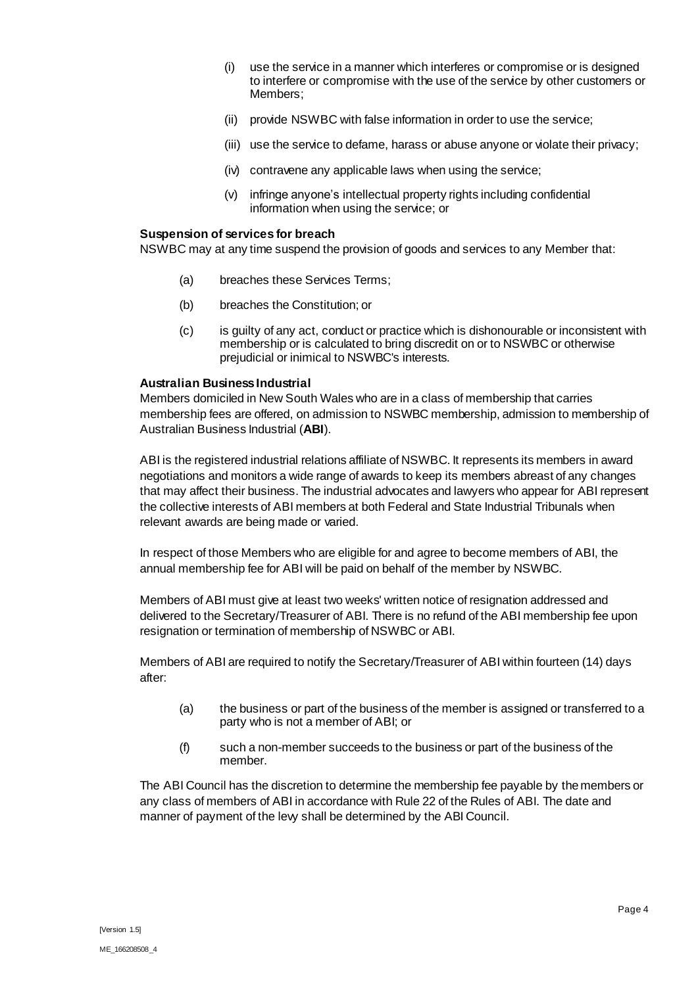- (i) use the service in a manner which interferes or compromise or is designed to interfere or compromise with the use of the service by other customers or Members;
- (ii) provide NSWBC with false information in order to use the service;
- (iii) use the service to defame, harass or abuse anyone or violate their privacy;
- (iv) contravene any applicable laws when using the service;
- (v) infringe anyone's intellectual property rights including confidential information when using the service; or

### **Suspension of services for breach**

NSWBC may at any time suspend the provision of goods and services to any Member that:

- (a) breaches these Services Terms;
- (b) breaches the Constitution; or
- (c) is guilty of any act, conduct or practice which is dishonourable or inconsistent with membership or is calculated to bring discredit on or to NSWBC or otherwise prejudicial or inimical to NSWBC's interests.

# **Australian Business Industrial**

Members domiciled in New South Wales who are in a class of membership that carries membership fees are offered, on admission to NSWBC membership, admission to membership of Australian Business Industrial (**ABI**).

ABI is the registered industrial relations affiliate of NSWBC. It represents its members in award negotiations and monitors a wide range of awards to keep its members abreast of any changes that may affect their business. The industrial advocates and lawyers who appear for ABI represent the collective interests of ABI members at both Federal and State Industrial Tribunals when relevant awards are being made or varied.

In respect of those Members who are eligible for and agree to become members of ABI, the annual membership fee for ABI will be paid on behalf of the member by NSWBC.

Members of ABI must give at least two weeks' written notice of resignation addressed and delivered to the Secretary/Treasurer of ABI. There is no refund of the ABI membership fee upon resignation or termination of membership of NSWBC or ABI.

Members of ABI are required to notify the Secretary/Treasurer of ABI within fourteen (14) days after:

- (a) the business or part of the business of the member is assigned or transferred to a party who is not a member of ABI; or
- (f) such a non-member succeeds to the business or part of the business of the member.

The ABI Council has the discretion to determine the membership fee payable by the members or any class of members of ABI in accordance with Rule 22 of the Rules of ABI. The date and manner of payment of the levy shall be determined by the ABI Council.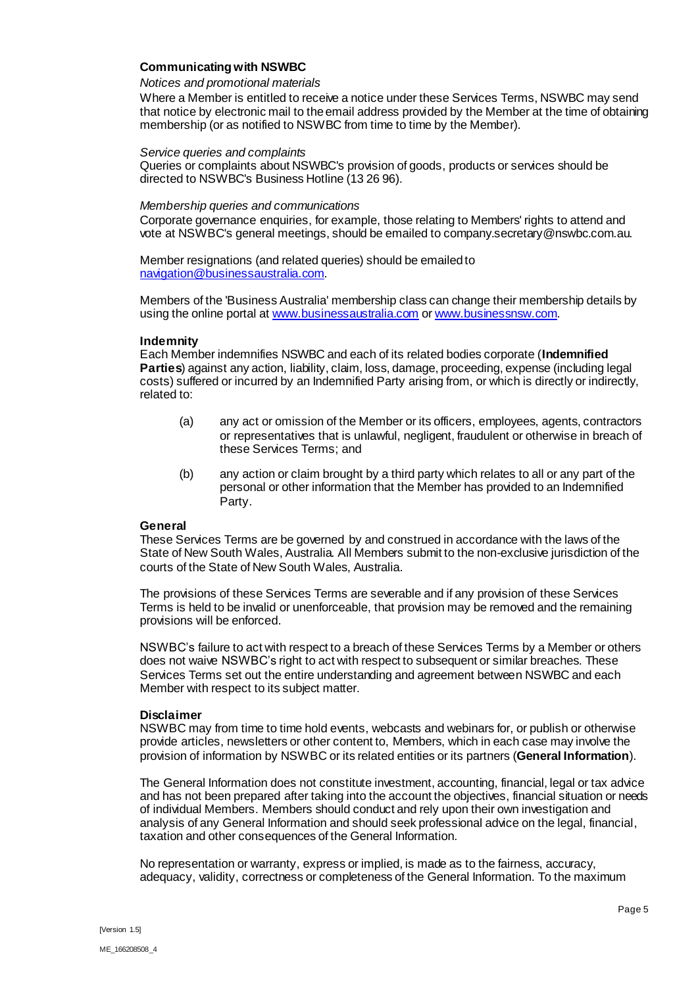# **Communicating with NSWBC**

### *Notices and promotional materials*

Where a Member is entitled to receive a notice under these Services Terms, NSWBC may send that notice by electronic mail to the email address provided by the Member at the time of obtaining membership (or as notified to NSWBC from time to time by the Member).

#### *Service queries and complaints*

Queries or complaints about NSWBC's provision of goods, products or services should be directed to NSWBC's Business Hotline (13 26 96).

#### *Membership queries and communications*

Corporate governance enquiries, for example, those relating to Members' rights to attend and vote at NSWBC's general meetings, should be emailed to company.secretary@nswbc.com.au.

Member resignations (and related queries) should be emailed to [navigation@businessaustralia.com](mailto:navigation@businessaustralia.com).

Members of the 'Business Australia' membership class can change their membership details by using the online portal a[t www.businessaustralia.com](http://www.businessaustralia.com/) o[r www.businessnsw.com](http://www.businessnsw.com/).

#### **Indemnity**

Each Member indemnifies NSWBC and each of its related bodies corporate (**Indemnified Parties**) against any action, liability, claim, loss, damage, proceeding, expense (including legal costs) suffered or incurred by an Indemnified Party arising from, or which is directly or indirectly, related to:

- (a) any act or omission of the Member or its officers, employees, agents, contractors or representatives that is unlawful, negligent, fraudulent or otherwise in breach of these Services Terms; and
- (b) any action or claim brought by a third party which relates to all or any part of the personal or other information that the Member has provided to an Indemnified Party.

### **General**

These Services Terms are be governed by and construed in accordance with the laws of the State of New South Wales, Australia. All Members submit to the non-exclusive jurisdiction of the courts of the State of New South Wales, Australia.

The provisions of these Services Terms are severable and if any provision of these Services Terms is held to be invalid or unenforceable, that provision may be removed and the remaining provisions will be enforced.

NSWBC's failure to act with respect to a breach of these Services Terms by a Member or others does not waive NSWBC's right to act with respect to subsequent or similar breaches. These Services Terms set out the entire understanding and agreement between NSWBC and each Member with respect to its subject matter.

#### **Disclaimer**

NSWBC may from time to time hold events, webcasts and webinars for, or publish or otherwise provide articles, newsletters or other content to, Members, which in each case may involve the provision of information by NSWBC or its related entities or its partners (**General Information**).

The General Information does not constitute investment, accounting, financial, legal or tax advice and has not been prepared after taking into the account the objectives, financial situation or needs of individual Members. Members should conduct and rely upon their own investigation and analysis of any General Information and should seek professional advice on the legal, financial, taxation and other consequences of the General Information.

No representation or warranty, express or implied, is made as to the fairness, accuracy, adequacy, validity, correctness or completeness of the General Information. To the maximum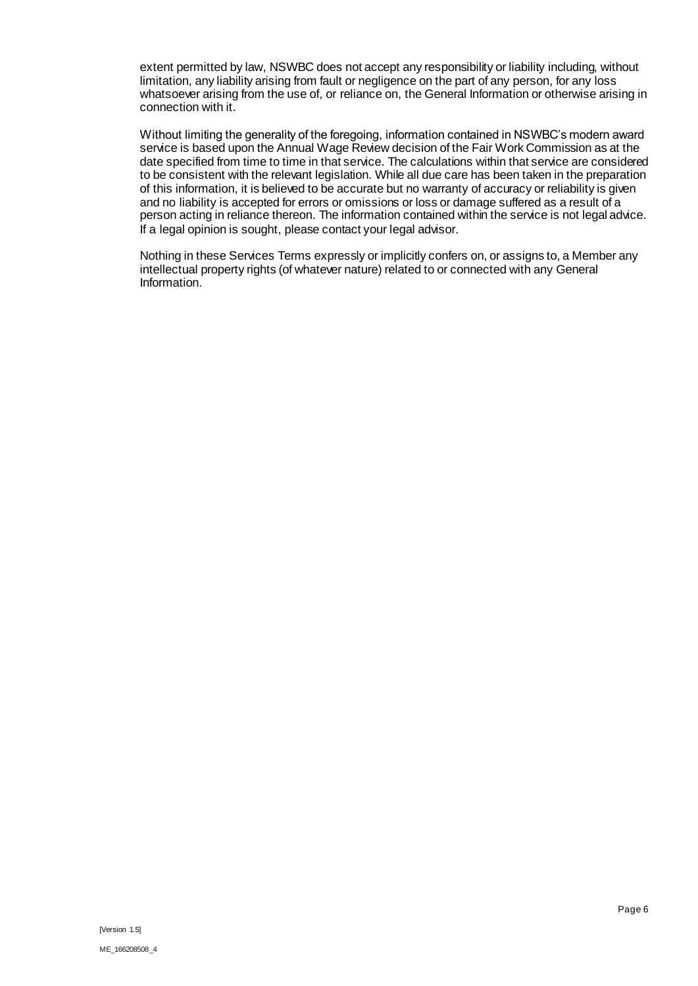extent permitted by law, NSWBC does not accept any responsibility or liability including, without limitation, any liability arising from fault or negligence on the part of any person, for any loss whatsoever arising from the use of, or reliance on, the General Information or otherwise arising in connection with it.

Without limiting the generality of the foregoing, information contained in NSWBC's modern award service is based upon the Annual Wage Review decision of the Fair Work Commission as at the date specified from time to time in that service. The calculations within that service are considered to be consistent with the relevant legislation. While all due care has been taken in the preparation of this information, it is believed to be accurate but no warranty of accuracy or reliability is given and no liability is accepted for errors or omissions or loss or damage suffered as a result of a person acting in reliance thereon. The information contained within the service is not legal advice. If a legal opinion is sought, please contact your legal advisor.

Nothing in these Services Terms expressly or implicitly confers on, or assigns to, a Member any intellectual property rights (of whatever nature) related to or connected with any General Information.

[Version 1.5]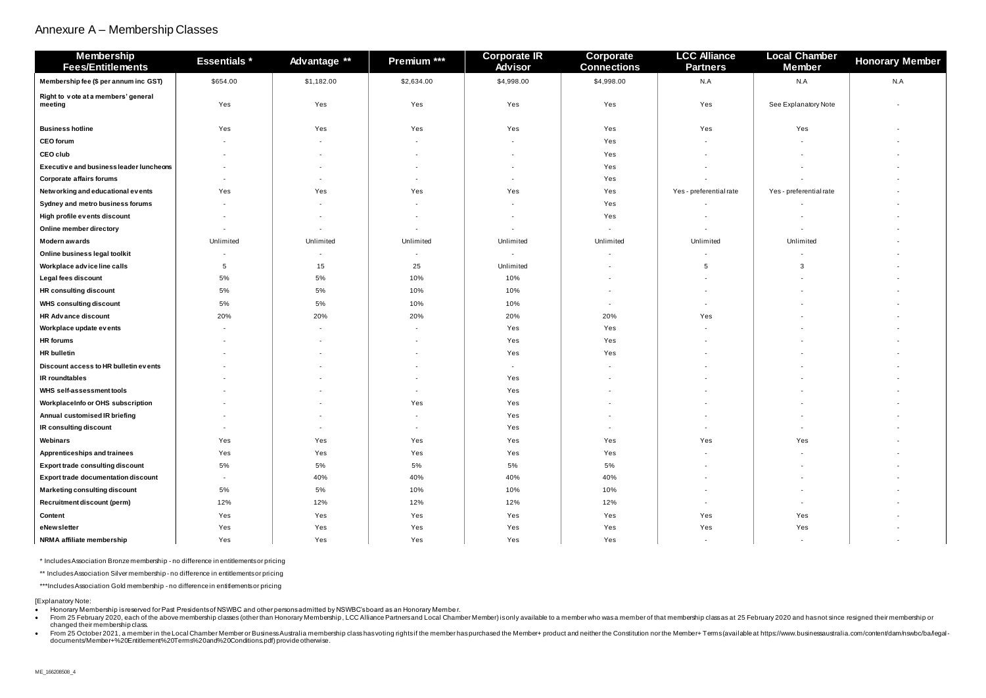# Annexure A – Membership Classes

| Local Chamber<br><b>Member</b> | <b>Honorary Member</b> |
|--------------------------------|------------------------|
| N.A                            | N.A                    |
| See Explanatory Note           |                        |
| Yes                            |                        |
|                                |                        |
|                                |                        |
|                                |                        |
|                                |                        |
| Yes - preferential rate        |                        |
|                                |                        |
|                                |                        |
|                                |                        |
| Unlimited                      |                        |
|                                |                        |
| 3                              |                        |
|                                |                        |
|                                |                        |
|                                |                        |
|                                |                        |
|                                |                        |
|                                |                        |
|                                |                        |
|                                |                        |
|                                |                        |
|                                |                        |
|                                |                        |
|                                |                        |
| Yes                            |                        |
|                                |                        |
|                                |                        |
|                                |                        |
|                                |                        |
|                                |                        |
| Yes                            |                        |
| Yes                            |                        |
|                                |                        |

| <b>Membership</b><br><b>Fees/Entitlements</b>  | <b>Essentials *</b> | Advantage ** | Premium *** | <b>Corporate IR</b><br><b>Advisor</b> | <b>Corporate</b><br><b>Connections</b> | <b>LCC Alliance</b><br><b>Partners</b> | <b>Local Chamber</b><br><b>Member</b> | <b>Honorary</b> |
|------------------------------------------------|---------------------|--------------|-------------|---------------------------------------|----------------------------------------|----------------------------------------|---------------------------------------|-----------------|
| Membership fee (\$ per annum inc GST)          | \$654.00            | \$1,182.00   | \$2,634.00  | \$4,998.00                            | \$4,998.00                             | N.A                                    | N.A                                   | N.A             |
| Right to vote at a members' general<br>meeting | Yes                 | Yes          | Yes         | Yes                                   | Yes                                    | Yes                                    | See Explanatory Note                  |                 |
| <b>Business hotline</b>                        | Yes                 | Yes          | Yes         | Yes                                   | Yes                                    | Yes                                    | Yes                                   |                 |
| <b>CEO</b> forum                               |                     |              |             | $\blacksquare$                        | Yes                                    |                                        |                                       |                 |
| <b>CEO club</b>                                |                     |              |             |                                       | Yes                                    |                                        |                                       |                 |
| Executive and business leader luncheons        |                     |              |             |                                       | Yes                                    |                                        |                                       |                 |
| <b>Corporate affairs forums</b>                |                     |              |             |                                       | Yes                                    |                                        |                                       |                 |
| Networking and educational events              | Yes                 | Yes          | Yes         | Yes                                   | Yes                                    | Yes - preferential rate                | Yes - preferential rate               |                 |
| Sydney and metro business forums               |                     |              |             |                                       | Yes                                    |                                        |                                       |                 |
| High profile events discount                   |                     |              |             |                                       | Yes                                    |                                        |                                       |                 |
| Online member directory                        |                     |              |             |                                       |                                        |                                        |                                       |                 |
| <b>Modern awards</b>                           | Unlimited           | Unlimited    | Unlimited   | Unlimited                             | Unlimited                              | Unlimited                              | Unlimited                             |                 |
| Online business legal toolkit                  |                     |              |             |                                       |                                        |                                        |                                       |                 |
| Workplace advice line calls                    | 5                   | 15           | 25          | Unlimited                             |                                        | -5                                     | 3                                     |                 |
| Legal fees discount                            | 5%                  | 5%           | 10%         | 10%                                   |                                        |                                        |                                       |                 |
| <b>HR consulting discount</b>                  | 5%                  | 5%           | 10%         | 10%                                   |                                        |                                        |                                       |                 |
| <b>WHS consulting discount</b>                 | 5%                  | 5%           | 10%         | 10%                                   | $\sim$                                 |                                        |                                       |                 |
| <b>HR Advance discount</b>                     | 20%                 | 20%          | 20%         | 20%                                   | 20%                                    | Yes                                    |                                       |                 |
| Workplace update events                        |                     |              |             | Yes                                   | Yes                                    |                                        |                                       |                 |
| <b>HR</b> forums                               |                     |              |             | Yes                                   | Yes                                    |                                        |                                       |                 |
| <b>HR</b> bulletin                             |                     |              |             | Yes                                   | Yes                                    |                                        |                                       |                 |
| Discount access to HR bulletin events          |                     |              |             | $\sim$                                |                                        |                                        |                                       |                 |
| <b>IR</b> roundtables                          |                     |              |             | Yes                                   |                                        |                                        |                                       |                 |
| <b>WHS self-assessment tools</b>               |                     |              |             | Yes                                   | $\overline{\phantom{a}}$               |                                        |                                       |                 |
| WorkplaceInfo or OHS subscription              |                     |              | Yes         | Yes                                   |                                        |                                        |                                       |                 |
| Annual customised IR briefing                  |                     |              |             | Yes                                   |                                        |                                        |                                       |                 |
| IR consulting discount                         | $\sim$              | $\sim$       | $\sim$      | Yes                                   | $\sim$                                 |                                        | $\blacksquare$                        | $\sim$          |
| Webinars                                       | Yes                 | Yes          | Yes         | Yes                                   | Yes                                    | Yes                                    | Yes                                   | $\sim$          |
| <b>Apprenticeships and trainees</b>            | Yes                 | Yes          | Yes         | Yes                                   | Yes                                    |                                        |                                       | $\sim$          |
| <b>Export trade consulting discount</b>        | 5%                  | 5%           | 5%          | 5%                                    | 5%                                     | $\sim$                                 | $\sim$                                | $\sim$          |
| <b>Export trade documentation discount</b>     | $\sim$              | 40%          | 40%         | 40%                                   | 40%                                    |                                        |                                       |                 |
| <b>Marketing consulting discount</b>           | 5%                  | 5%           | 10%         | 10%                                   | 10%                                    | $\sim$                                 | $\blacksquare$                        | $\sim$          |
| <b>Recruitment discount (perm)</b>             | 12%                 | 12%          | 12%         | 12%                                   | 12%                                    | $\sim$                                 | $\sim$                                | $\sim$          |
| <b>Content</b>                                 | Yes                 | Yes          | Yes         | Yes                                   | Yes                                    | Yes                                    | Yes                                   | $\sim$          |
| eNewsletter                                    | Yes                 | Yes          | Yes         | Yes                                   | Yes                                    | Yes                                    | Yes                                   | $\sim$          |
| NRMA affiliate membership                      | Yes                 | Yes          | Yes         | Yes                                   | Yes                                    | $\sim$                                 | $\sim$                                | $\sim$          |

\* Includes Association Bronze membership - no difference in entitlements or pricing

\*\* Includes Association Silver membership - no difference in entitlements or pricing

\*\*\*Includes Association Gold membership - no difference in entitlements or pricing

[Explanatory Note:

• Honorary Membership is reserved for Past Presidents of NSWBC and other persons admitted by NSWBC's board as an Honorary Membe r.

• From 25 February 2020, each of the above membership classes (other than Honorary Membership, LCC Alliance Partners and Local Chamber Member) is only available to a member who was a member of that membership class as at 2 changed their membership class. • From 25 October 2021, a member in the Local Chamber Member or Business Australia membership class has voting rights if the member has purchased the Member+ product and neither the Constitution nor the Member+ Terms (avai

[documents/Member+%20Entitlement%20Terms%20and%20Conditions.pdf](https://www.businessaustralia.com/content/dam/nswbc/ba/legal-documents/Member+%20Entitlement%20Terms%20and%20Conditions.pdf)) provide otherwise.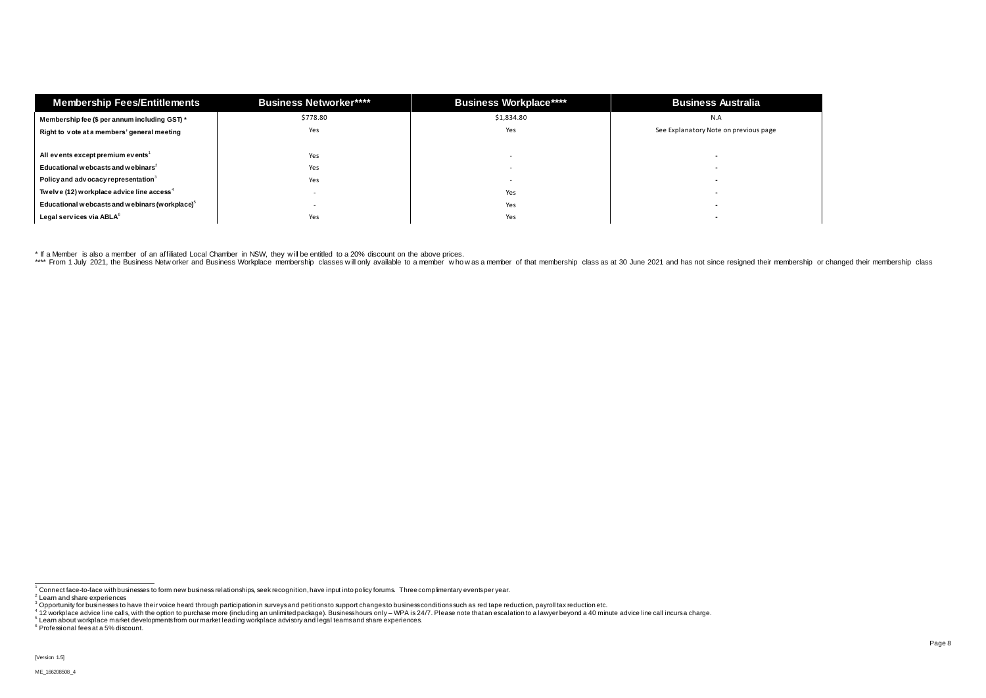| <b>Membership Fees/Entitlements</b>                    | <b>Business Networker****</b> | <b>Business Workplace****</b> | <b>Business Australia</b>             |  |
|--------------------------------------------------------|-------------------------------|-------------------------------|---------------------------------------|--|
| Membership fee (\$ per annum including GST) *          | \$778.80                      | \$1,834.80                    | N.A                                   |  |
| Right to vote at a members' general meeting            | Yes                           | Yes                           | See Explanatory Note on previous page |  |
| All events except premium events <sup>1</sup>          | Yes                           |                               |                                       |  |
| Educational webcasts and webinars <sup>2</sup>         | Yes                           |                               |                                       |  |
| Policy and adv ocacy representation $3$                | Yes                           |                               |                                       |  |
| Twelve (12) workplace advice line access <sup>4</sup>  |                               | Yes                           |                                       |  |
| Educational webcasts and webinars (workplace) $\delta$ |                               | Yes                           |                                       |  |
| Legal services via ABLA <sup>6</sup>                   | Yes                           | Yes                           |                                       |  |

\* If a Member is also a member of an affiliated Local Chamber in NSW, they w ill be entitled to a 20% discount on the above prices.

\*\*\*\* From 1 July 2021, the Business Netw orker and Business Workplace membership classes will only available to a member who was a member of that membership class as at 30 June 2021 and has not since resigned their members

 $\overline{\phantom{a}}$  $^{\rm 1}$  Connect face-to-face with businesses to form new business relationships, seek recognition, have input into policy forums. Three complimentary events per year.

<sup>&</sup>lt;sup>2</sup> Learn and share experiences<br><sup>3</sup> Opportunity for businesses to have their voice heard through participation in surveys and petitions to support changes to business conditions such as red tape reduction, payroll tax redu

<sup>6</sup> Professional fees at a 5% discount.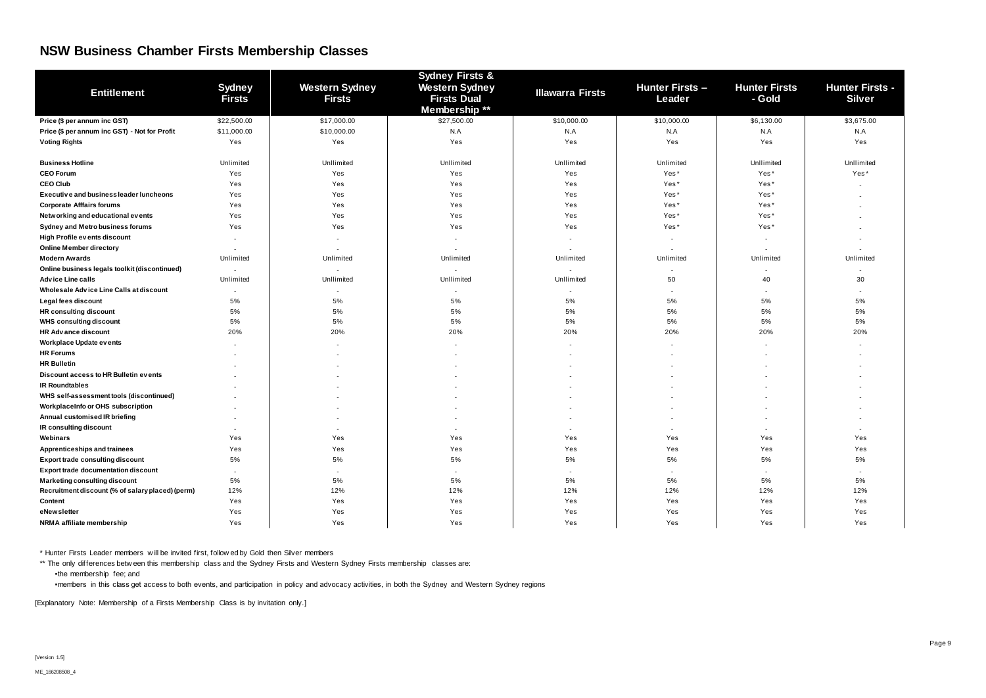# **NSW Business Chamber Firsts Membership Classes**

| <b>Entitlement</b>                               | <b>Sydney</b><br><b>Firsts</b> | <b>Western Sydney</b><br><b>Firsts</b> | <b>Sydney Firsts &amp;</b><br><b>Western Sydney</b><br><b>Firsts Dual</b><br>Membership ** | <b>Illawarra Firsts</b>  | <b>Hunter Firsts -</b><br>Leader | <b>Hunter Firsts</b><br>- Gold | <b>Hunter Firsts -</b><br><b>Silver</b> |
|--------------------------------------------------|--------------------------------|----------------------------------------|--------------------------------------------------------------------------------------------|--------------------------|----------------------------------|--------------------------------|-----------------------------------------|
| Price (\$ per annum inc GST)                     | \$22,500.00                    | \$17,000.00                            | \$27,500.00                                                                                | \$10,000.00              | \$10,000.00                      | \$6,130.00                     | \$3,675.00                              |
| Price (\$ per annum inc GST) - Not for Profit    | \$11,000.00                    | \$10,000.00                            | N.A                                                                                        | N.A                      | N.A                              | N.A                            | N.A                                     |
| <b>Voting Rights</b>                             | Yes                            | Yes                                    | Yes                                                                                        | Yes                      | Yes                              | Yes                            | Yes                                     |
| <b>Business Hotline</b>                          | Unlimited                      | Unllimited                             | Unllimited                                                                                 | Unllimited               | Unlimited                        | Unllimited                     | Unllimited                              |
| <b>CEO Forum</b>                                 | Yes                            | Yes                                    | Yes                                                                                        | Yes                      | Yes*                             | Yes*                           | Yes*                                    |
| <b>CEO Club</b>                                  | Yes                            | Yes                                    | Yes                                                                                        | Yes                      | Yes*                             | Yes*                           |                                         |
| Executive and business leader luncheons          | Yes                            | Yes                                    | Yes                                                                                        | Yes                      | Yes*                             | Yes*                           |                                         |
| <b>Corporate Afffairs forums</b>                 | Yes                            | Yes                                    | Yes                                                                                        | Yes                      | Yes*                             | Yes*                           |                                         |
| Networking and educational events                | Yes                            | Yes                                    | Yes                                                                                        | Yes                      | Yes*                             | Yes*                           |                                         |
| Sydney and Metro business forums                 | Yes                            | Yes                                    | Yes                                                                                        | Yes                      | Yes*                             | Yes*                           |                                         |
| High Profile events discount                     | $\sim$                         |                                        |                                                                                            | $\overline{\phantom{a}}$ | $\sim$                           |                                |                                         |
| <b>Online Member directory</b>                   |                                |                                        |                                                                                            |                          |                                  |                                |                                         |
| <b>Modern Awards</b>                             | Unlimited                      | Unlimited                              | Unlimited                                                                                  | Unlimited                | Unlimited                        | Unlimited                      | Unlimited                               |
| Online business legals toolkit (discontinued)    | $\overline{\phantom{a}}$       |                                        |                                                                                            |                          |                                  |                                |                                         |
| <b>Advice Line calls</b>                         | Unlimited                      | Unllimited                             | Unllimited                                                                                 | Unllimited               | 50                               | 40                             | 30                                      |
| Wholesale Advice Line Calls at discount          | $\overline{\phantom{a}}$       |                                        | $\sim$                                                                                     | $\overline{\phantom{a}}$ | $\sim$                           | $\blacksquare$                 |                                         |
| Legal fees discount                              | 5%                             | 5%                                     | 5%                                                                                         | 5%                       | 5%                               | 5%                             | 5%                                      |
| <b>HR consulting discount</b>                    | 5%                             | 5%                                     | 5%                                                                                         | 5%                       | 5%                               | 5%                             | 5%                                      |
| <b>WHS consulting discount</b>                   | 5%                             | 5%                                     | 5%                                                                                         | 5%                       | 5%                               | 5%                             | 5%                                      |
| <b>HR Advance discount</b>                       | 20%                            | 20%                                    | 20%                                                                                        | 20%                      | 20%                              | 20%                            | 20%                                     |
| <b>Workplace Update events</b>                   |                                |                                        |                                                                                            |                          |                                  |                                |                                         |
| <b>HR Forums</b>                                 |                                |                                        |                                                                                            |                          |                                  |                                |                                         |
| <b>HR Bulletin</b>                               |                                |                                        |                                                                                            |                          |                                  |                                |                                         |
| Discount access to HR Bulletin events            |                                |                                        |                                                                                            |                          |                                  |                                |                                         |
| <b>IR Roundtables</b>                            |                                |                                        |                                                                                            |                          |                                  |                                |                                         |
| WHS self-assessment tools (discontinued)         |                                |                                        |                                                                                            |                          |                                  |                                |                                         |
| WorkplaceInfo or OHS subscription                |                                |                                        |                                                                                            |                          |                                  |                                |                                         |
| Annual customised IR briefing                    | ۰                              |                                        |                                                                                            |                          |                                  |                                |                                         |
| IR consulting discount                           |                                |                                        |                                                                                            |                          |                                  |                                |                                         |
| Webinars                                         | Yes                            | Yes                                    | Yes                                                                                        | Yes                      | Yes                              | Yes                            | Yes                                     |
| Apprenticeships and trainees                     | Yes                            | Yes                                    | Yes                                                                                        | Yes                      | Yes                              | Yes                            | Yes                                     |
| <b>Export trade consulting discount</b>          | 5%                             | 5%                                     | 5%                                                                                         | 5%                       | 5%                               | 5%                             | 5%                                      |
| <b>Export trade documentation discount</b>       | $\sim$                         | $\sim$                                 | $\sim$                                                                                     | $\sim$                   | $\sim$                           | $\sim$                         |                                         |
| <b>Marketing consulting discount</b>             | 5%                             | 5%                                     | $5\%$                                                                                      | 5%                       | 5%                               | 5%                             | 5%                                      |
| Recruitment discount (% of salary placed) (perm) | 12%                            | 12%                                    | 12%                                                                                        | 12%                      | 12%                              | 12%                            | 12%                                     |
| <b>Content</b>                                   | Yes                            | Yes                                    | Yes                                                                                        | Yes                      | Yes                              | Yes                            | Yes                                     |
| eNewsletter                                      | Yes                            | Yes                                    | Yes                                                                                        | Yes                      | Yes                              | Yes                            | Yes                                     |
| NRMA affiliate membership                        | Yes                            | Yes                                    | Yes                                                                                        | Yes                      | Yes                              | Yes                            | Yes                                     |

\*\* The only differences betw een this membership class and the Sydney Firsts and Western Sydney Firsts membership classes are: ▪the membership fee; and

\* Hunter Firsts Leader members w ill be invited first, follow ed by Gold then Silver members

▪members in this class get access to both events, and participation in policy and advocacy activities, in both the Sydney and Western Sydney regions

[Explanatory Note: Membership of a Firsts Membership Class is by invitation only.]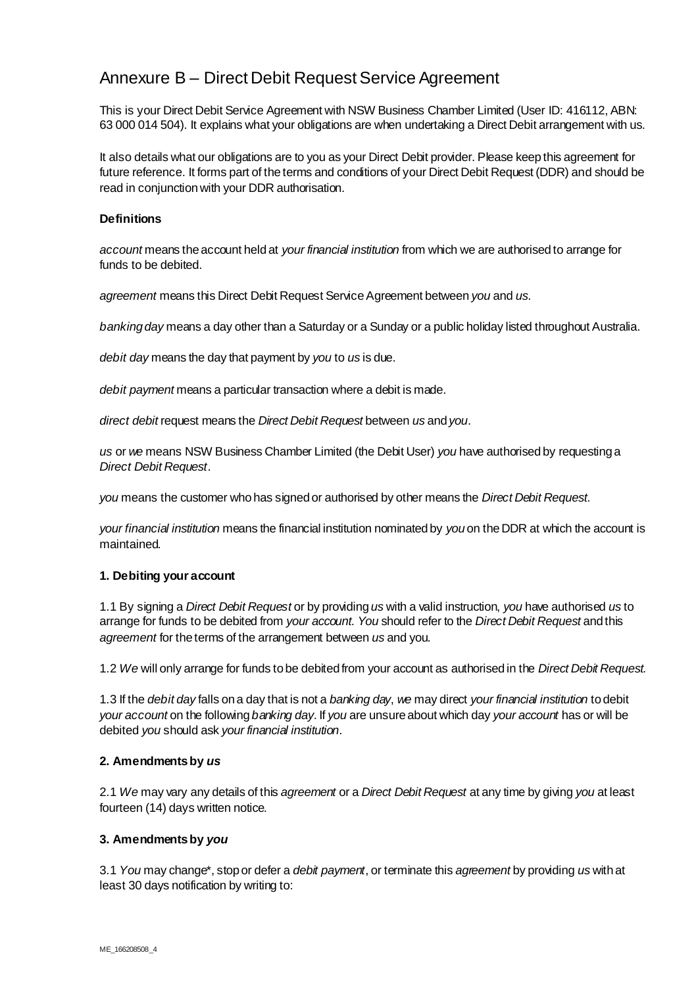# Annexure B – Direct Debit Request Service Agreement

This is your Direct Debit Service Agreement with NSW Business Chamber Limited (User ID: 416112, ABN: 63 000 014 504). It explains what your obligations are when undertaking a Direct Debit arrangement with us.

It also details what our obligations are to you as your Direct Debit provider. Please keep this agreement for future reference. It forms part of the terms and conditions of your Direct Debit Request (DDR) and should be read in conjunction with your DDR authorisation.

# **Definitions**

*account* means the account held at *your financial institution* from which we are authorised to arrange for funds to be debited.

*agreement* means this Direct Debit Request Service Agreement between *you* and *us*.

*banking day* means a day other than a Saturday or a Sunday or a public holiday listed throughout Australia.

*debit day* means the day that payment by *you* to *us* is due.

*debit payment* means a particular transaction where a debit is made.

*direct debit* request means the *Direct Debit Request* between *us* and *you*.

*us* or *we* means NSW Business Chamber Limited (the Debit User) *you* have authorised by requesting a *Direct Debit Request*.

*you* means the customer who has signed or authorised by other means the *Direct Debit Request*.

*your financial institution* means the financial institution nominated by *you* on the DDR at which the account is maintained.

# **1. Debiting your account**

1.1 By signing a *Direct Debit Request* or by providing *us* with a valid instruction, *you* have authorised *us* to arrange for funds to be debited from *your account*. *You* should refer to the *Direct Debit Request* and this *agreement* for the terms of the arrangement between *us* and you.

1.2 *We* will only arrange for funds to be debited from your account as authorised in the *Direct Debit Request.*

1.3 If the *debit day* falls on a day that is not a *banking day*, *we* may direct *your financial institution* to debit *your account* on the following *banking day*. If *you* are unsure about which day *your account* has or will be debited *you* should ask *your financial institution*.

# **2. Amendments by** *us*

2.1 *We* may vary any details of this *agreement* or a *Direct Debit Request* at any time by giving *you* at least fourteen (14) days written notice.

# **3. Amendments by** *you*

3.1 *You* may change\*, stop or defer a *debit payment*, or terminate this *agreement* by providing *us* with at least 30 days notification by writing to: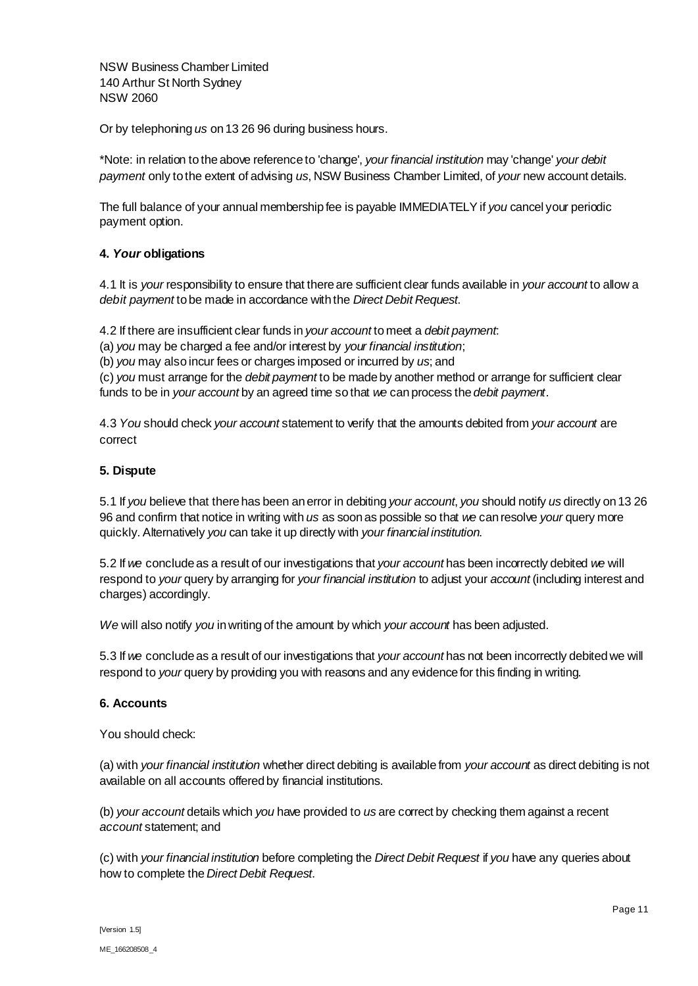NSW Business Chamber Limited 140 Arthur St North Sydney NSW 2060

Or by telephoning *us* on 13 26 96 during business hours.

\*Note: in relation to the above reference to 'change', *your financial institution* may 'change' *your debit payment* only to the extent of advising *us*, NSW Business Chamber Limited, of *your* new account details.

The full balance of your annual membership fee is payable IMMEDIATELY if *you* cancel your periodic payment option.

# **4.** *Your* **obligations**

4.1 It is *your* responsibility to ensure that there are sufficient clear funds available in *your account* to allow a *debit payment* to be made in accordance with the *Direct Debit Request*.

4.2 If there are insufficient clear funds in *your account* to meet a *debit payment*:

(a) *you* may be charged a fee and/or interest by *your financial institution*;

(b) *you* may also incur fees or charges imposed or incurred by *us*; and

(c) *you* must arrange for the *debit payment* to be made by another method or arrange for sufficient clear funds to be in *your account* by an agreed time so that *we* can process the *debit payment*.

4.3 *You* should check *your account* statement to verify that the amounts debited from *your account* are correct

# **5. Dispute**

5.1 If *you* believe that there has been an error in debiting *your account*, *you* should notify *us* directly on 13 26 96 and confirm that notice in writing with *us* as soon as possible so that *we* can resolve *your* query more quickly. Alternatively *you* can take it up directly with *your financial institution*.

5.2 If *we* conclude as a result of our investigations that *your account* has been incorrectly debited *we* will respond to *your* query by arranging for *your financial institution* to adjust your *account* (including interest and charges) accordingly.

*We* will also notify *you* in writing of the amount by which *your account* has been adjusted.

5.3 If *we* conclude as a result of our investigations that *your account* has not been incorrectly debited we will respond to *your* query by providing you with reasons and any evidence for this finding in writing.

# **6. Accounts**

You should check:

(a) with *your financial institution* whether direct debiting is available from *your account* as direct debiting is not available on all accounts offered by financial institutions.

(b) *your account* details which *you* have provided to *us* are correct by checking them against a recent *account* statement; and

(c) with *your financial institution* before completing the *Direct Debit Request* if *you* have any queries about how to complete the *Direct Debit Request*.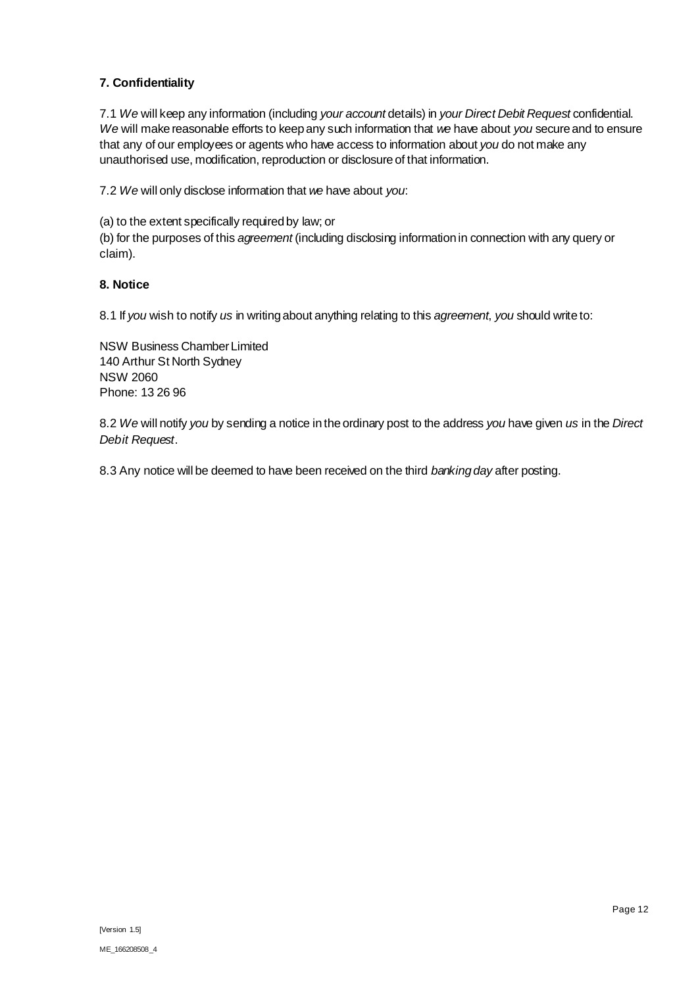# **7. Confidentiality**

7.1 *We* will keep any information (including *your account* details) in *your Direct Debit Request* confidential. *We* will make reasonable efforts to keep any such information that *we* have about *you* secure and to ensure that any of our employees or agents who have access to information about *you* do not make any unauthorised use, modification, reproduction or disclosure of that information.

7.2 *We* will only disclose information that *we* have about *you*:

(a) to the extent specifically required by law; or

(b) for the purposes of this *agreement* (including disclosing information in connection with any query or claim).

# **8. Notice**

8.1 If *you* wish to notify *us* in writing about anything relating to this *agreement*, *you* should write to:

NSW Business Chamber Limited 140 Arthur St North Sydney NSW 2060 Phone: 13 26 96

8.2 *We* will notify *you* by sending a notice in the ordinary post to the address *you* have given *us* in the *Direct Debit Request*.

8.3 Any notice will be deemed to have been received on the third *banking day* after posting.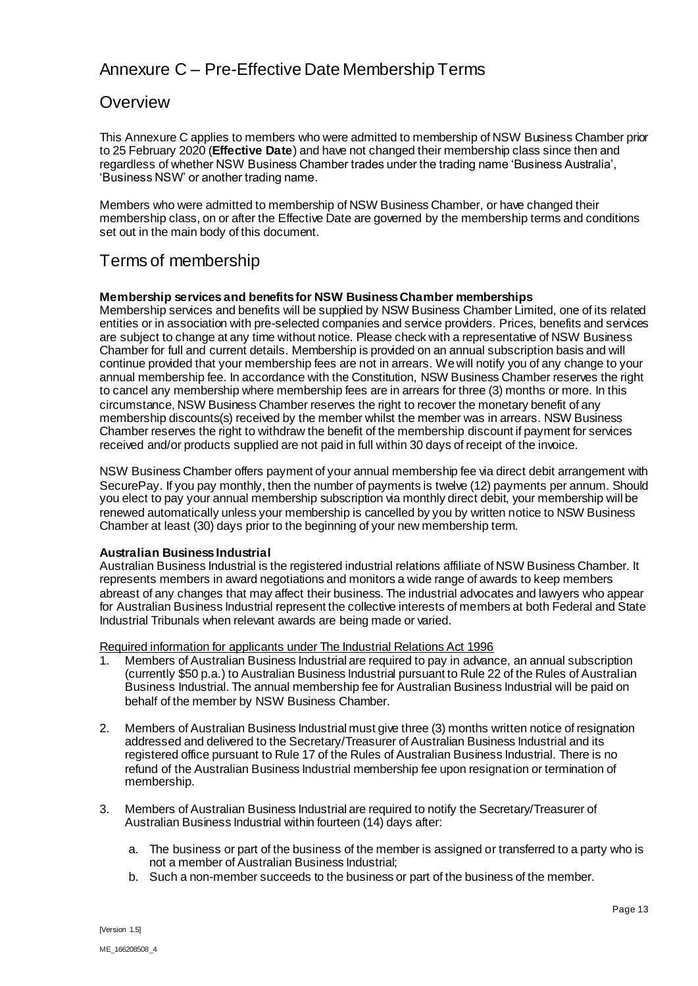# Annexure C – Pre-Effective Date Membership Terms

# **Overview**

This Annexure C applies to members who were admitted to membership of NSW Business Chamber prior to 25 February 2020 (**Effective Date**) and have not changed their membership class since then and regardless of whether NSW Business Chamber trades under the trading name 'Business Australia', 'Business NSW' or another trading name.

Members who were admitted to membership of NSW Business Chamber, or have changed their membership class, on or after the Effective Date are governed by the membership terms and conditions set out in the main body of this document.

# Terms of membership

# **Membership services and benefits for NSW Business Chamber memberships**

Membership services and benefits will be supplied by NSW Business Chamber Limited, one of its related entities or in association with pre-selected companies and service providers. Prices, benefits and services are subject to change at any time without notice. Please check with a representative of NSW Business Chamber for full and current details. Membership is provided on an annual subscription basis and will continue provided that your membership fees are not in arrears. We will notify you of any change to your annual membership fee. In accordance with the Constitution, NSW Business Chamber reserves the right to cancel any membership where membership fees are in arrears for three (3) months or more. In this circumstance, NSW Business Chamber reserves the right to recover the monetary benefit of any membership discounts(s) received by the member whilst the member was in arrears. NSW Business Chamber reserves the right to withdraw the benefit of the membership discount if payment for services received and/or products supplied are not paid in full within 30 days of receipt of the invoice.

NSW Business Chamber offers payment of your annual membership fee via direct debit arrangement with SecurePay. If you pay monthly, then the number of payments is twelve (12) payments per annum. Should you elect to pay your annual membership subscription via monthly direct debit, your membership will be renewed automatically unless your membership is cancelled by you by written notice to NSW Business Chamber at least (30) days prior to the beginning of your new membership term.

# **Australian Business Industrial**

Australian Business Industrial is the registered industrial relations affiliate of NSW Business Chamber. It represents members in award negotiations and monitors a wide range of awards to keep members abreast of any changes that may affect their business. The industrial advocates and lawyers who appear for Australian Business Industrial represent the collective interests of members at both Federal and State Industrial Tribunals when relevant awards are being made or varied.

Required information for applicants under The Industrial Relations Act 1996

- 1. Members of Australian Business Industrial are required to pay in advance, an annual subscription (currently \$50 p.a.) to Australian Business Industrial pursuant to Rule 22 of the Rules of Australian Business Industrial. The annual membership fee for Australian Business Industrial will be paid on behalf of the member by NSW Business Chamber.
- 2. Members of Australian Business Industrial must give three (3) months written notice of resignation addressed and delivered to the Secretary/Treasurer of Australian Business Industrial and its registered office pursuant to Rule 17 of the Rules of Australian Business Industrial. There is no refund of the Australian Business Industrial membership fee upon resignation or termination of membership.
- 3. Members of Australian Business Industrial are required to notify the Secretary/Treasurer of Australian Business Industrial within fourteen (14) days after:
	- a. The business or part of the business of the member is assigned or transferred to a party who is not a member of Australian Business Industrial;
	- b. Such a non-member succeeds to the business or part of the business of the member.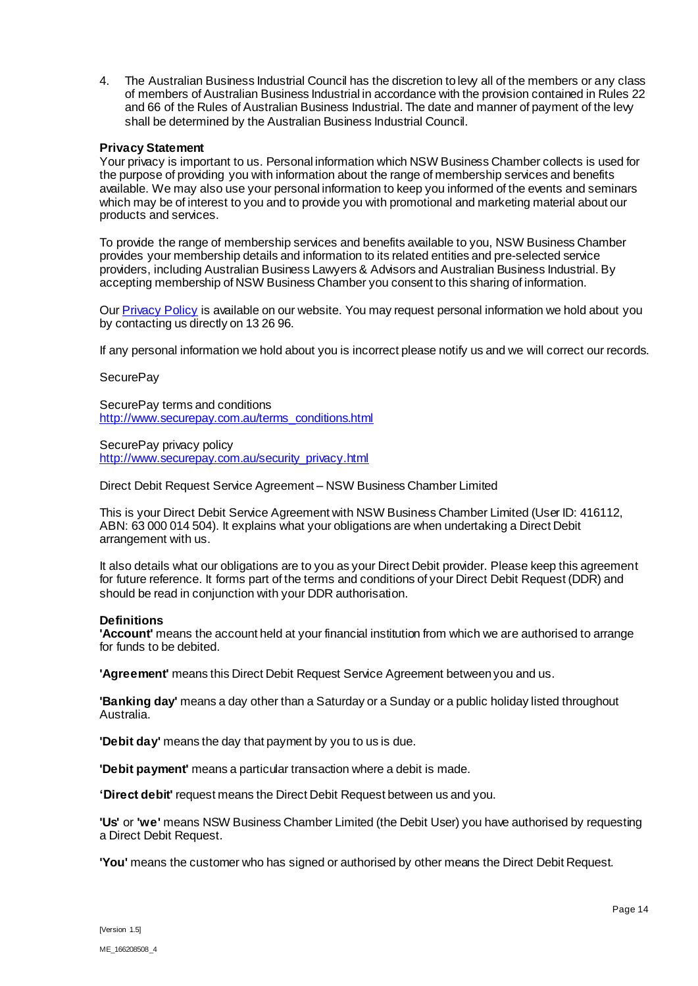4. The Australian Business Industrial Council has the discretion to levy all of the members or any class of members of Australian Business Industrial in accordance with the provision contained in Rules 22 and 66 of the Rules of Australian Business Industrial. The date and manner of payment of the levy shall be determined by the Australian Business Industrial Council.

### **Privacy Statement**

Your privacy is important to us. Personal information which NSW Business Chamber collects is used for the purpose of providing you with information about the range of membership services and benefits available. We may also use your personal information to keep you informed of the events and seminars which may be of interest to you and to provide you with promotional and marketing material about our products and services.

To provide the range of membership services and benefits available to you, NSW Business Chamber provides your membership details and information to its related entities and pre-selected service providers, including Australian Business Lawyers & Advisors and Australian Business Industrial. By accepting membership of NSW Business Chamber you consent to this sharing of information.

Our [Privacy Policy](https://www.nswbusinesschamber.com.au/About/Privacy-Policy-(1)) is available on our website. You may request personal information we hold about you by contacting us directly on 13 26 96.

If any personal information we hold about you is incorrect please notify us and we will correct our records.

### **SecurePay**

SecurePay terms and conditions [http://www.securepay.com.au/terms\\_conditions.html](http://www.securepay.com.au/terms_conditions.html)

SecurePay privacy policy [http://www.securepay.com.au/security\\_privacy.html](http://www.securepay.com.au/security_privacy.html)

Direct Debit Request Service Agreement – NSW Business Chamber Limited

This is your Direct Debit Service Agreement with NSW Business Chamber Limited (User ID: 416112, ABN: 63 000 014 504). It explains what your obligations are when undertaking a Direct Debit arrangement with us.

It also details what our obligations are to you as your Direct Debit provider. Please keep this agreement for future reference. It forms part of the terms and conditions of your Direct Debit Request (DDR) and should be read in conjunction with your DDR authorisation.

# **Definitions**

**'Account'** means the account held at your financial institution from which we are authorised to arrange for funds to be debited.

**'Agreement'** means this Direct Debit Request Service Agreement between you and us.

**'Banking day'** means a day other than a Saturday or a Sunday or a public holiday listed throughout Australia.

**'Debit day'** means the day that payment by you to us is due.

**'Debit payment'** means a particular transaction where a debit is made.

**'Direct debit'** request means the Direct Debit Request between us and you.

**'Us'** or **'we'** means NSW Business Chamber Limited (the Debit User) you have authorised by requesting a Direct Debit Request.

**'You'** means the customer who has signed or authorised by other means the Direct Debit Request.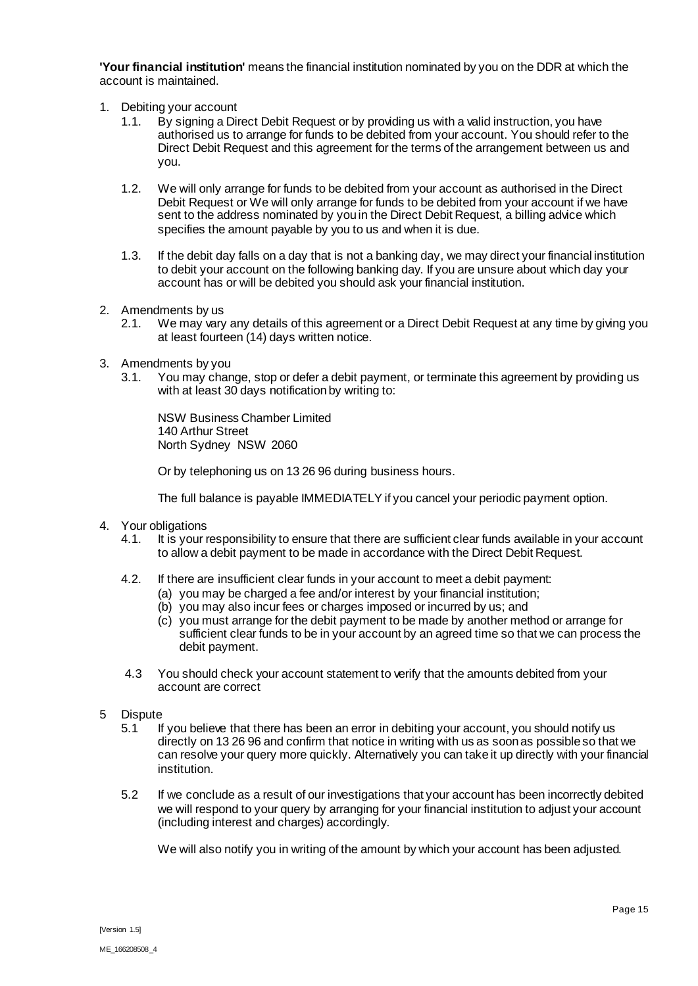**'Your financial institution'** means the financial institution nominated by you on the DDR at which the account is maintained.

- 1. Debiting your account
	- 1.1. By signing a Direct Debit Request or by providing us with a valid instruction, you have authorised us to arrange for funds to be debited from your account. You should refer to the Direct Debit Request and this agreement for the terms of the arrangement between us and you.
	- 1.2. We will only arrange for funds to be debited from your account as authorised in the Direct Debit Request or We will only arrange for funds to be debited from your account if we have sent to the address nominated by you in the Direct Debit Request, a billing advice which specifies the amount payable by you to us and when it is due.
	- 1.3. If the debit day falls on a day that is not a banking day, we may direct your financial institution to debit your account on the following banking day. If you are unsure about which day your account has or will be debited you should ask your financial institution.
- 2. Amendments by us
	- 2.1. We may vary any details of this agreement or a Direct Debit Request at any time by giving you at least fourteen (14) days written notice.
- 3. Amendments by you
	- 3.1. You may change, stop or defer a debit payment, or terminate this agreement by providing us with at least 30 days notification by writing to:

NSW Business Chamber Limited 140 Arthur Street North Sydney NSW 2060

Or by telephoning us on 13 26 96 during business hours.

The full balance is payable IMMEDIATELY if you cancel your periodic payment option.

- 4. Your obligations
	- 4.1. It is your responsibility to ensure that there are sufficient clear funds available in your account to allow a debit payment to be made in accordance with the Direct Debit Request.
	- 4.2. If there are insufficient clear funds in your account to meet a debit payment:
		- (a) you may be charged a fee and/or interest by your financial institution;
		- (b) you may also incur fees or charges imposed or incurred by us; and
		- (c) you must arrange for the debit payment to be made by another method or arrange for sufficient clear funds to be in your account by an agreed time so that we can process the debit payment.
	- 4.3 You should check your account statement to verify that the amounts debited from your account are correct
- 5 Dispute
	- 5.1 If you believe that there has been an error in debiting your account, you should notify us directly on 13 26 96 and confirm that notice in writing with us as soon as possible so that we can resolve your query more quickly. Alternatively you can take it up directly with your financial institution.
	- 5.2 If we conclude as a result of our investigations that your account has been incorrectly debited we will respond to your query by arranging for your financial institution to adjust your account (including interest and charges) accordingly.

We will also notify you in writing of the amount by which your account has been adjusted.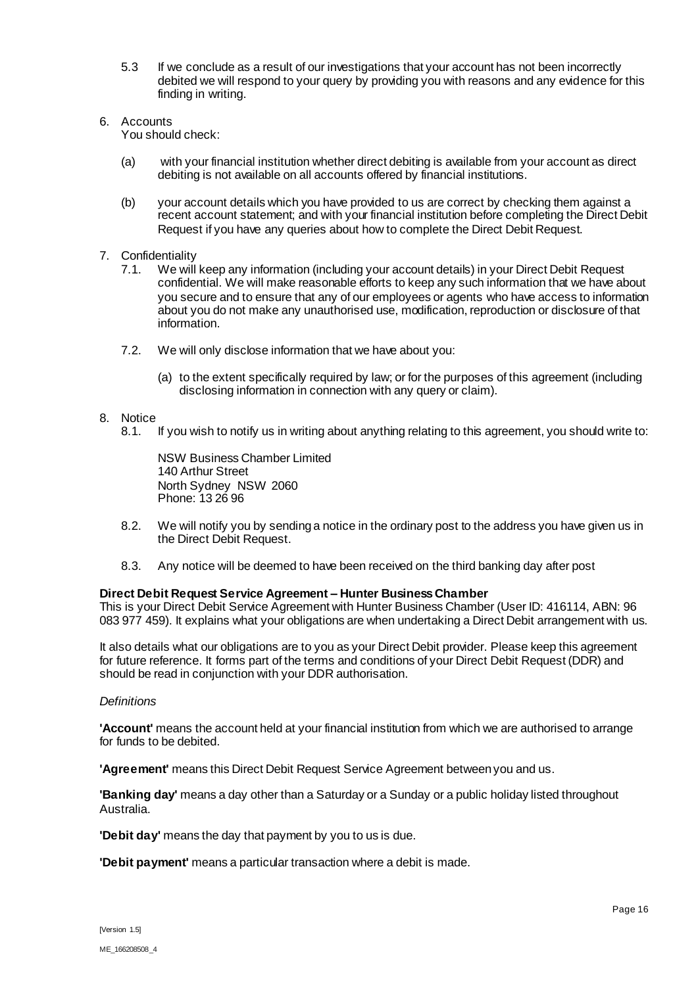- 5.3 If we conclude as a result of our investigations that your account has not been incorrectly debited we will respond to your query by providing you with reasons and any evidence for this finding in writing.
- 6. Accounts You should check:
	- (a) with your financial institution whether direct debiting is available from your account as direct debiting is not available on all accounts offered by financial institutions.
	- (b) your account details which you have provided to us are correct by checking them against a recent account statement; and with your financial institution before completing the Direct Debit Request if you have any queries about how to complete the Direct Debit Request.
- 7. Confidentiality
	- 7.1. We will keep any information (including your account details) in your Direct Debit Request confidential. We will make reasonable efforts to keep any such information that we have about you secure and to ensure that any of our employees or agents who have access to information about you do not make any unauthorised use, modification, reproduction or disclosure of that information.
	- 7.2. We will only disclose information that we have about you:
		- (a) to the extent specifically required by law; or for the purposes of this agreement (including disclosing information in connection with any query or claim).

# 8. Notice

8.1. If you wish to notify us in writing about anything relating to this agreement, you should write to:

NSW Business Chamber Limited 140 Arthur Street North Sydney NSW 2060 Phone: 13 26 96

- 8.2. We will notify you by sending a notice in the ordinary post to the address you have given us in the Direct Debit Request.
- 8.3. Any notice will be deemed to have been received on the third banking day after post

### **Direct Debit Request Service Agreement – Hunter Business Chamber**

This is your Direct Debit Service Agreement with Hunter Business Chamber (User ID: 416114, ABN: 96 083 977 459). It explains what your obligations are when undertaking a Direct Debit arrangement with us.

It also details what our obligations are to you as your Direct Debit provider. Please keep this agreement for future reference. It forms part of the terms and conditions of your Direct Debit Request (DDR) and should be read in conjunction with your DDR authorisation.

### *Definitions*

**'Account'** means the account held at your financial institution from which we are authorised to arrange for funds to be debited.

**'Agreement'** means this Direct Debit Request Service Agreement between you and us.

**'Banking day'** means a day other than a Saturday or a Sunday or a public holiday listed throughout Australia.

**'Debit day'** means the day that payment by you to us is due.

**'Debit payment'** means a particular transaction where a debit is made.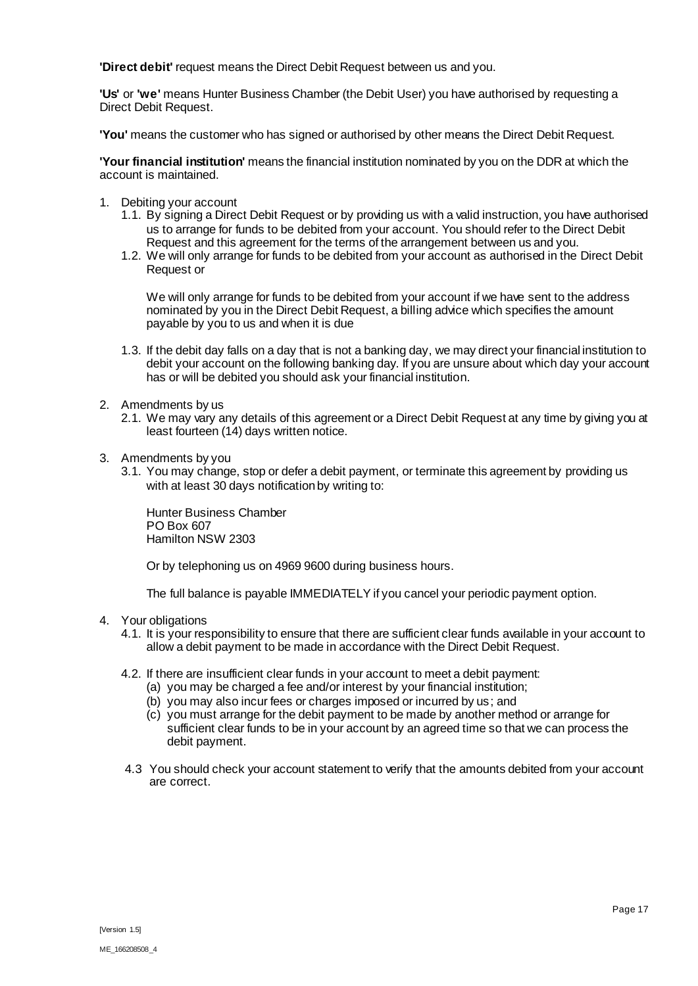**'Direct debit'** request means the Direct Debit Request between us and you.

**'Us'** or **'we'** means Hunter Business Chamber (the Debit User) you have authorised by requesting a Direct Debit Request.

**'You'** means the customer who has signed or authorised by other means the Direct Debit Request.

**'Your financial institution'** means the financial institution nominated by you on the DDR at which the account is maintained.

- 1. Debiting your account
	- 1.1. By signing a Direct Debit Request or by providing us with a valid instruction, you have authorised us to arrange for funds to be debited from your account. You should refer to the Direct Debit Request and this agreement for the terms of the arrangement between us and you.
	- 1.2. We will only arrange for funds to be debited from your account as authorised in the Direct Debit Request or

We will only arrange for funds to be debited from your account if we have sent to the address nominated by you in the Direct Debit Request, a billing advice which specifies the amount payable by you to us and when it is due

- 1.3. If the debit day falls on a day that is not a banking day, we may direct your financial institution to debit your account on the following banking day. If you are unsure about which day your account has or will be debited you should ask your financial institution.
- 2. Amendments by us
	- 2.1. We may vary any details of this agreement or a Direct Debit Request at any time by giving you at least fourteen (14) days written notice.
- 3. Amendments by you
	- 3.1. You may change, stop or defer a debit payment, or terminate this agreement by providing us with at least 30 days notification by writing to:

Hunter Business Chamber PO Box 607 Hamilton NSW 2303

Or by telephoning us on 4969 9600 during business hours.

The full balance is payable IMMEDIATELY if you cancel your periodic payment option.

- 4. Your obligations
	- 4.1. It is your responsibility to ensure that there are sufficient clear funds available in your account to allow a debit payment to be made in accordance with the Direct Debit Request.
	- 4.2. If there are insufficient clear funds in your account to meet a debit payment:
		- (a) you may be charged a fee and/or interest by your financial institution;
		- (b) you may also incur fees or charges imposed or incurred by us; and
		- (c) you must arrange for the debit payment to be made by another method or arrange for sufficient clear funds to be in your account by an agreed time so that we can process the debit payment.
	- 4.3 You should check your account statement to verify that the amounts debited from your account are correct.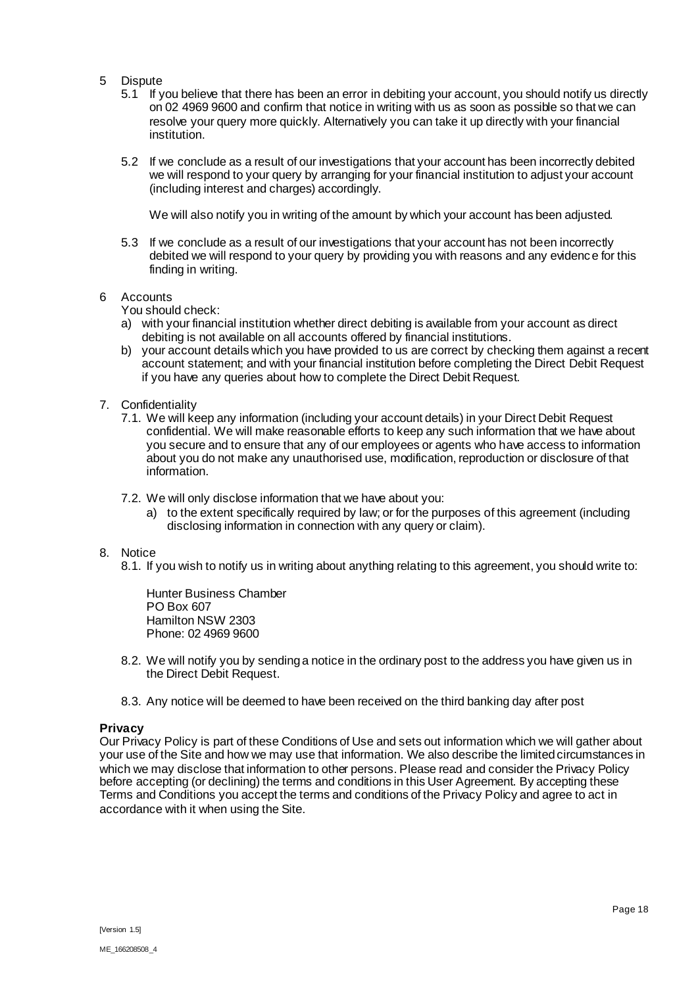- 5 Dispute
	- 5.1 If you believe that there has been an error in debiting your account, you should notify us directly on 02 4969 9600 and confirm that notice in writing with us as soon as possible so that we can resolve your query more quickly. Alternatively you can take it up directly with your financial institution.
	- 5.2 If we conclude as a result of our investigations that your account has been incorrectly debited we will respond to your query by arranging for your financial institution to adjust your account (including interest and charges) accordingly.

We will also notify you in writing of the amount by which your account has been adjusted.

5.3 If we conclude as a result of our investigations that your account has not been incorrectly debited we will respond to your query by providing you with reasons and any evidence for this finding in writing.

### 6 Accounts

You should check:

- a) with your financial institution whether direct debiting is available from your account as direct debiting is not available on all accounts offered by financial institutions.
- b) your account details which you have provided to us are correct by checking them against a recent account statement; and with your financial institution before completing the Direct Debit Request if you have any queries about how to complete the Direct Debit Request.
- 7. Confidentiality
	- 7.1. We will keep any information (including your account details) in your Direct Debit Request confidential. We will make reasonable efforts to keep any such information that we have about you secure and to ensure that any of our employees or agents who have access to information about you do not make any unauthorised use, modification, reproduction or disclosure of that information.
	- 7.2. We will only disclose information that we have about you:
		- a) to the extent specifically required by law; or for the purposes of this agreement (including disclosing information in connection with any query or claim).

### 8. Notice

8.1. If you wish to notify us in writing about anything relating to this agreement, you should write to:

Hunter Business Chamber PO Box 607 Hamilton NSW 2303 Phone: 02 4969 9600

- 8.2. We will notify you by sending a notice in the ordinary post to the address you have given us in the Direct Debit Request.
- 8.3. Any notice will be deemed to have been received on the third banking day after post

### **Privacy**

Our Privacy Policy is part of these Conditions of Use and sets out information which we will gather about your use of the Site and how we may use that information. We also describe the limited circumstances in which we may disclose that information to other persons. Please read and consider the Privacy Policy before accepting (or declining) the terms and conditions in this User Agreement. By accepting these Terms and Conditions you accept the terms and conditions of the Privacy Policy and agree to act in accordance with it when using the Site.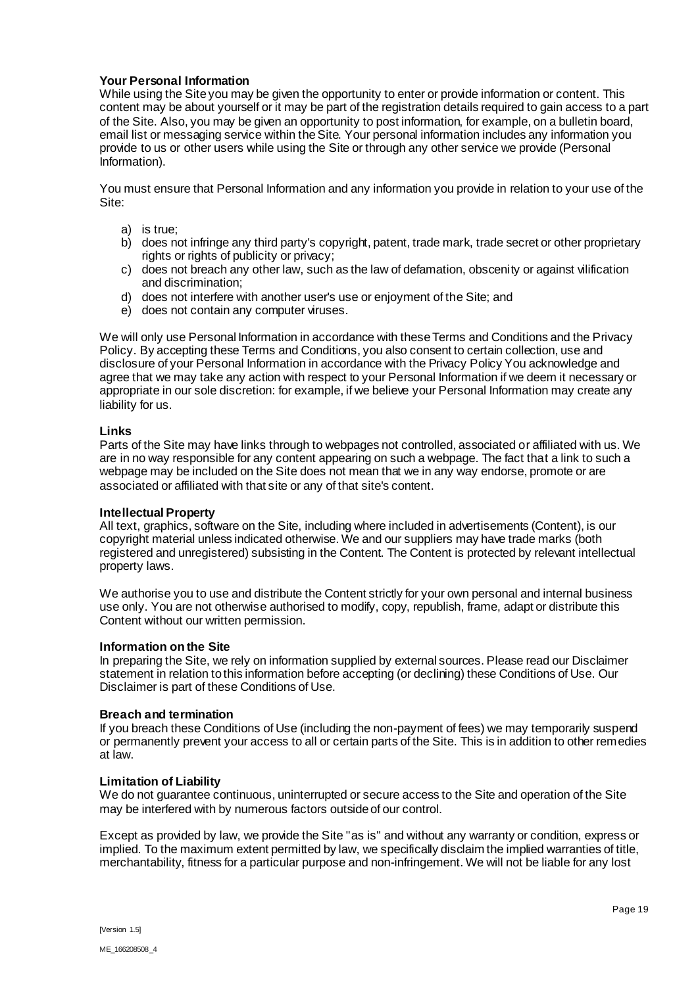# **Your Personal Information**

While using the Site you may be given the opportunity to enter or provide information or content. This content may be about yourself or it may be part of the registration details required to gain access to a part of the Site. Also, you may be given an opportunity to post information, for example, on a bulletin board, email list or messaging service within the Site. Your personal information includes any information you provide to us or other users while using the Site or through any other service we provide (Personal Information).

You must ensure that Personal Information and any information you provide in relation to your use of the Site:

- a) is true;
- b) does not infringe any third party's copyright, patent, trade mark, trade secret or other proprietary rights or rights of publicity or privacy;
- c) does not breach any other law, such as the law of defamation, obscenity or against vilification and discrimination;
- d) does not interfere with another user's use or enjoyment of the Site; and
- e) does not contain any computer viruses.

We will only use Personal Information in accordance with these Terms and Conditions and the Privacy Policy. By accepting these Terms and Conditions, you also consent to certain collection, use and disclosure of your Personal Information in accordance with the Privacy Policy You acknowledge and agree that we may take any action with respect to your Personal Information if we deem it necessary or appropriate in our sole discretion: for example, if we believe your Personal Information may create any liability for us.

### **Links**

Parts of the Site may have links through to webpages not controlled, associated or affiliated with us. We are in no way responsible for any content appearing on such a webpage. The fact that a link to such a webpage may be included on the Site does not mean that we in any way endorse, promote or are associated or affiliated with that site or any of that site's content.

### **Intellectual Property**

All text, graphics, software on the Site, including where included in advertisements (Content), is our copyright material unless indicated otherwise. We and our suppliers may have trade marks (both registered and unregistered) subsisting in the Content. The Content is protected by relevant intellectual property laws.

We authorise you to use and distribute the Content strictly for your own personal and internal business use only. You are not otherwise authorised to modify, copy, republish, frame, adapt or distribute this Content without our written permission.

### **Information on the Site**

In preparing the Site, we rely on information supplied by external sources. Please read our Disclaimer statement in relation to this information before accepting (or declining) these Conditions of Use. Our Disclaimer is part of these Conditions of Use.

# **Breach and termination**

If you breach these Conditions of Use (including the non-payment of fees) we may temporarily suspend or permanently prevent your access to all or certain parts of the Site. This is in addition to other remedies at law.

### **Limitation of Liability**

We do not guarantee continuous, uninterrupted or secure access to the Site and operation of the Site may be interfered with by numerous factors outside of our control.

Except as provided by law, we provide the Site "as is" and without any warranty or condition, express or implied. To the maximum extent permitted by law, we specifically disclaim the implied warranties of title, merchantability, fitness for a particular purpose and non-infringement. We will not be liable for any lost